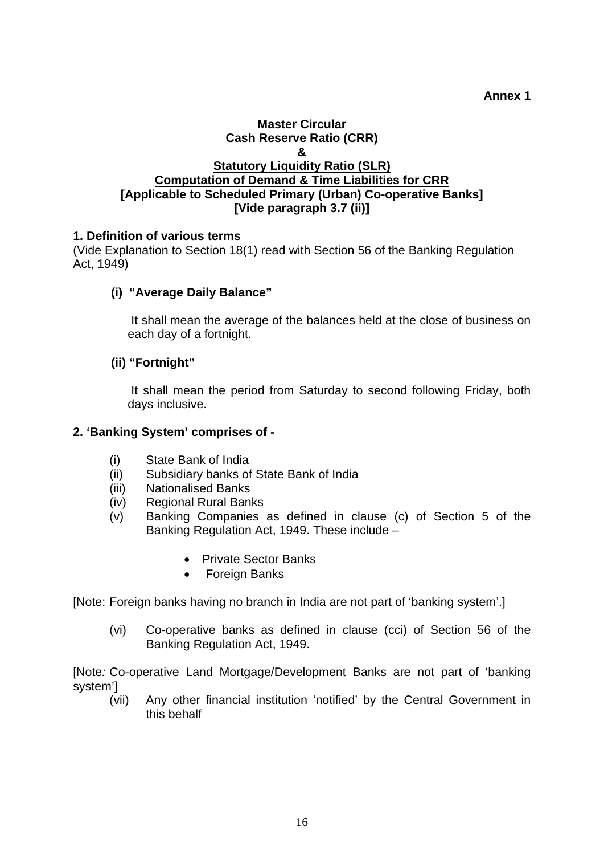**Annex 1** 

### **Master Circular Cash Reserve Ratio (CRR) & Statutory Liquidity Ratio (SLR) Computation of Demand & Time Liabilities for CRR [Applicable to Scheduled Primary (Urban) Co-operative Banks] [Vide paragraph 3.7 (ii)]**

### **1. Definition of various terms**

(Vide Explanation to Section 18(1) read with Section 56 of the Banking Regulation Act, 1949)

## **(i) "Average Daily Balance"**

 It shall mean the average of the balances held at the close of business on each day of a fortnight.

### **(ii) "Fortnight"**

 It shall mean the period from Saturday to second following Friday, both days inclusive.

### **2. 'Banking System' comprises of -**

- (i) State Bank of India
- (ii) Subsidiary banks of State Bank of India
- (iii) Nationalised Banks
- (iv) Regional Rural Banks
- (v) Banking Companies as defined in clause (c) of Section 5 of the Banking Regulation Act, 1949. These include –
	- Private Sector Banks
	- Foreign Banks

[Note: Foreign banks having no branch in India are not part of 'banking system'.]

(vi) Co-operative banks as defined in clause (cci) of Section 56 of the Banking Regulation Act, 1949.

[Note*:* Co-operative Land Mortgage/Development Banks are not part of 'banking system']

(vii) Any other financial institution 'notified' by the Central Government in this behalf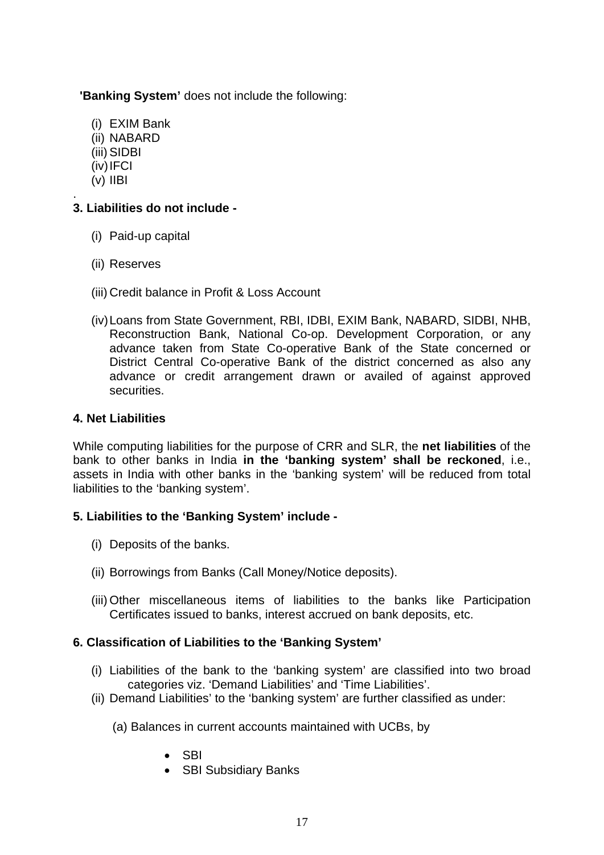**'Banking System'** does not include the following:

- (i) EXIM Bank
- (ii) NABARD
- (iii) SIDBI
- (iv) IFCI
- (v) IIBI

#### . **3. Liabilities do not include -**

- (i) Paid-up capital
- (ii) Reserves
- (iii) Credit balance in Profit & Loss Account
- (iv) Loans from State Government, RBI, IDBI, EXIM Bank, NABARD, SIDBI, NHB, Reconstruction Bank, National Co-op. Development Corporation, or any advance taken from State Co-operative Bank of the State concerned or District Central Co-operative Bank of the district concerned as also any advance or credit arrangement drawn or availed of against approved securities.

## **4. Net Liabilities**

While computing liabilities for the purpose of CRR and SLR, the **net liabilities** of the bank to other banks in India **in the 'banking system' shall be reckoned**, i.e., assets in India with other banks in the 'banking system' will be reduced from total liabilities to the 'banking system'.

# **5. Liabilities to the 'Banking System' include -**

- (i) Deposits of the banks.
- (ii) Borrowings from Banks (Call Money/Notice deposits).
- (iii) Other miscellaneous items of liabilities to the banks like Participation Certificates issued to banks, interest accrued on bank deposits, etc.

# **6. Classification of Liabilities to the 'Banking System'**

- (i) Liabilities of the bank to the 'banking system' are classified into two broad categories viz. 'Demand Liabilities' and 'Time Liabilities'.
- (ii) Demand Liabilities' to the 'banking system' are further classified as under:
	- (a) Balances in current accounts maintained with UCBs, by
		- SBI
		- SBI Subsidiary Banks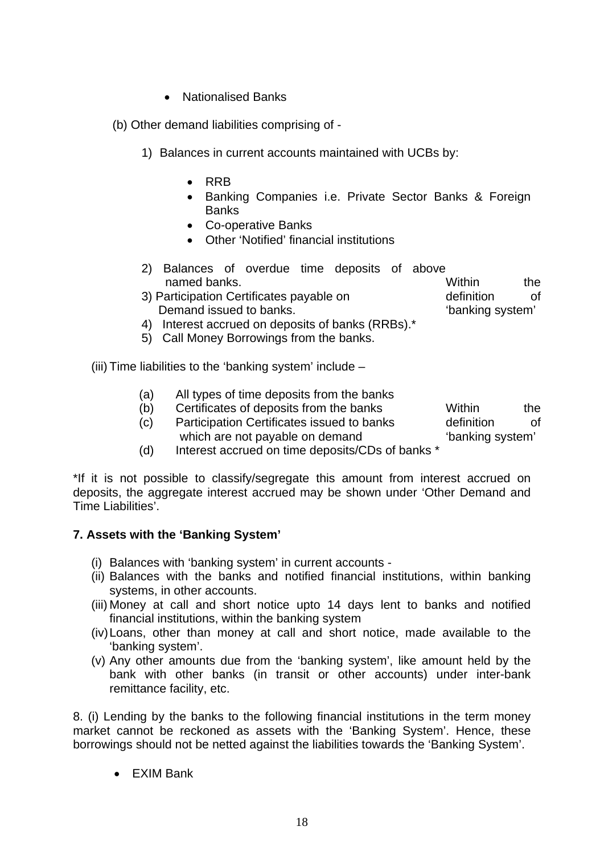• Nationalised Banks

(b) Other demand liabilities comprising of -

- 1) Balances in current accounts maintained with UCBs by:
	- RRB
	- Banking Companies i.e. Private Sector Banks & Foreign Banks
	- Co-operative Banks
	- Other 'Notified' financial institutions
- 2) Balances of overdue time deposits of above named banks. Within the
- 3) Participation Certificates payable on Demand issued to banks. definition of 'banking system'
- 4) Interest accrued on deposits of banks (RRBs).\*
- 5) Call Money Borrowings from the banks.

(iii) Time liabilities to the 'banking system' include –

- (a) All types of time deposits from the banks
- (b) Certificates of deposits from the banks
- (c) Participation Certificates issued to banks which are not payable on demand definition of 'banking system'

Within the

(d) Interest accrued on time deposits/CDs of banks \*

\*If it is not possible to classify/segregate this amount from interest accrued on deposits, the aggregate interest accrued may be shown under 'Other Demand and Time Liabilities'.

### **7. Assets with the 'Banking System'**

- (i) Balances with 'banking system' in current accounts -
- (ii) Balances with the banks and notified financial institutions, within banking systems, in other accounts.
- (iii) Money at call and short notice upto 14 days lent to banks and notified financial institutions, within the banking system
- (iv) Loans, other than money at call and short notice, made available to the 'banking system'.
- (v) Any other amounts due from the 'banking system', like amount held by the bank with other banks (in transit or other accounts) under inter-bank remittance facility, etc.

8. (i) Lending by the banks to the following financial institutions in the term money market cannot be reckoned as assets with the 'Banking System'. Hence, these borrowings should not be netted against the liabilities towards the 'Banking System'.

• EXIM Bank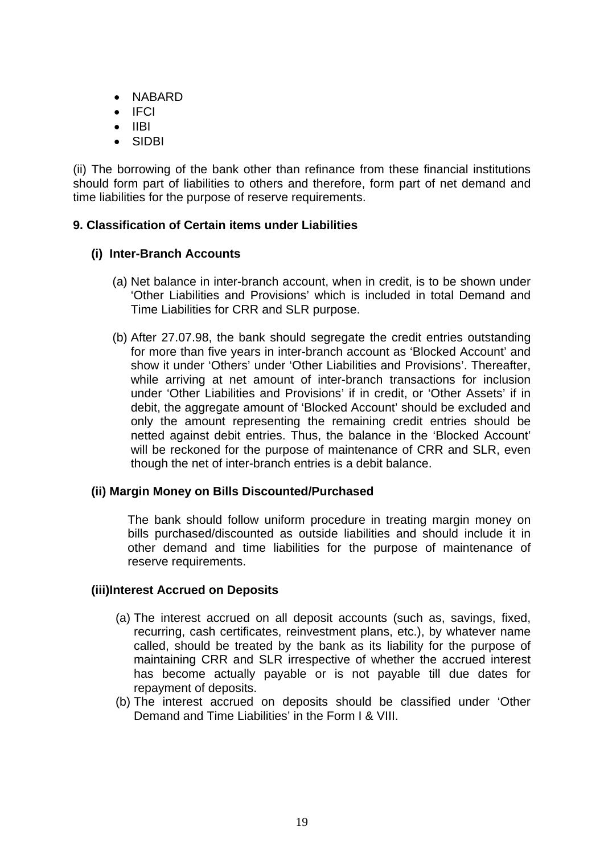- NABARD
- IFCI
- IIBI
- SIDBI

(ii) The borrowing of the bank other than refinance from these financial institutions should form part of liabilities to others and therefore, form part of net demand and time liabilities for the purpose of reserve requirements.

### **9. Classification of Certain items under Liabilities**

## **(i) Inter-Branch Accounts**

- (a) Net balance in inter-branch account, when in credit, is to be shown under 'Other Liabilities and Provisions' which is included in total Demand and Time Liabilities for CRR and SLR purpose.
- (b) After 27.07.98, the bank should segregate the credit entries outstanding for more than five years in inter-branch account as 'Blocked Account' and show it under 'Others' under 'Other Liabilities and Provisions'. Thereafter, while arriving at net amount of inter-branch transactions for inclusion under 'Other Liabilities and Provisions' if in credit, or 'Other Assets' if in debit, the aggregate amount of 'Blocked Account' should be excluded and only the amount representing the remaining credit entries should be netted against debit entries. Thus, the balance in the 'Blocked Account' will be reckoned for the purpose of maintenance of CRR and SLR, even though the net of inter-branch entries is a debit balance.

### **(ii) Margin Money on Bills Discounted/Purchased**

The bank should follow uniform procedure in treating margin money on bills purchased/discounted as outside liabilities and should include it in other demand and time liabilities for the purpose of maintenance of reserve requirements.

#### **(iii)Interest Accrued on Deposits**

- (a) The interest accrued on all deposit accounts (such as, savings, fixed, recurring, cash certificates, reinvestment plans, etc.), by whatever name called, should be treated by the bank as its liability for the purpose of maintaining CRR and SLR irrespective of whether the accrued interest has become actually payable or is not payable till due dates for repayment of deposits.
- (b) The interest accrued on deposits should be classified under 'Other Demand and Time Liabilities' in the Form I & VIII.